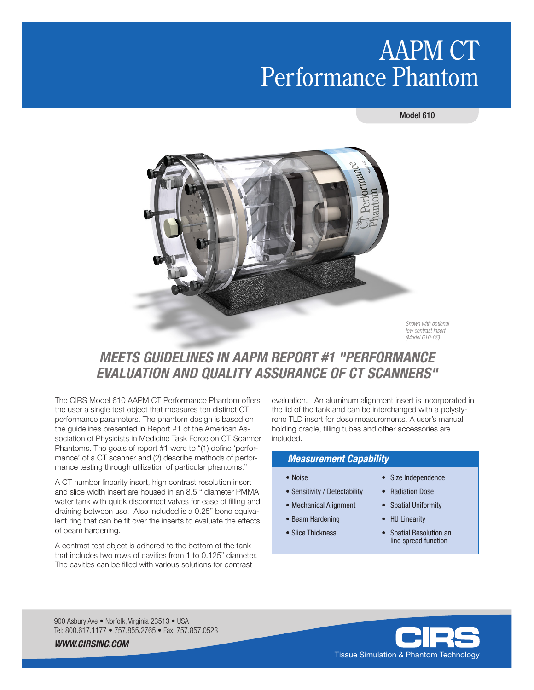# AAPM CT Performance Phantom

### Model 610



*Shown with optional low contrast insert (Model 610-06)*

# *MEETS GUIDELINES IN AAPM REPORT #1 "PERFORMANCE EVALUATION AND QUALITY ASSURANCE OF CT SCANNERS"*

The CIRS Model 610 AAPM CT Performance Phantom offers the user a single test object that measures ten distinct CT performance parameters. The phantom design is based on the guidelines presented in Report #1 of the American Association of Physicists in Medicine Task Force on CT Scanner Phantoms. The goals of report #1 were to "(1) define 'performance' of a CT scanner and (2) describe methods of performance testing through utilization of particular phantoms."

A CT number linearity insert, high contrast resolution insert and slice width insert are housed in an 8.5 " diameter PMMA water tank with quick disconnect valves for ease of filling and draining between use. Also included is a 0.25" bone equivalent ring that can be fit over the inserts to evaluate the effects of beam hardening.

A contrast test object is adhered to the bottom of the tank that includes two rows of cavities from 1 to 0.125" diameter. The cavities can be filled with various solutions for contrast

evaluation. An aluminum alignment insert is incorporated in the lid of the tank and can be interchanged with a polystyrene TLD insert for dose measurements. A user's manual, holding cradle, filling tubes and other accessories are included.

## *Measurement Capability*

- 
- Sensitivity / Detectability Radiation Dose
- Mechanical Alignment Spatial Uniformity
- Beam Hardening HU Linearity
- 
- Noise Size Independence
	-
	-
	-
- Slice Thickness Spatial Resolution an line spread function

900 Asbury Ave · Norfolk, Virginia 23513 · USA Tel: 800.617.1177 • 757.855.2765 • Fax: 757.857.0523